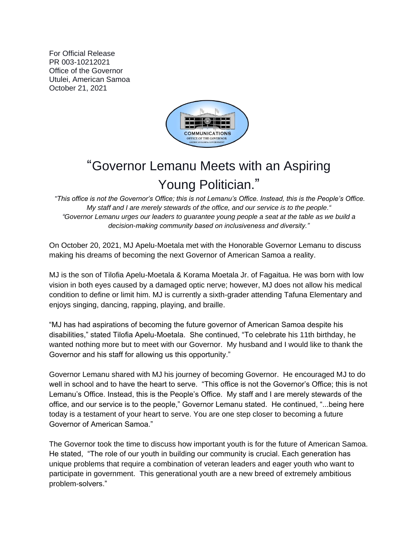For Official Release PR 003-10212021 Office of the Governor Utulei, American Samoa October 21, 2021



## "Governor Lemanu Meets with an Aspiring Young Politician."

*"This office is not the Governor's Office; this is not Lemanu's Office. Instead, this is the People's Office. My staff and I are merely stewards of the office, and our service is to the people." "Governor Lemanu urges our leaders to guarantee young people a seat at the table as we build a decision-making community based on inclusiveness and diversity."*

On October 20, 2021, MJ Apelu-Moetala met with the Honorable Governor Lemanu to discuss making his dreams of becoming the next Governor of American Samoa a reality.

MJ is the son of Tilofia Apelu-Moetala & Korama Moetala Jr. of Fagaitua. He was born with low vision in both eyes caused by a damaged optic nerve; however, MJ does not allow his medical condition to define or limit him. MJ is currently a sixth-grader attending Tafuna Elementary and enjoys singing, dancing, rapping, playing, and braille.

"MJ has had aspirations of becoming the future governor of American Samoa despite his disabilities," stated Tilofia Apelu-Moetala. She continued, "To celebrate his 11th birthday, he wanted nothing more but to meet with our Governor. My husband and I would like to thank the Governor and his staff for allowing us this opportunity."

Governor Lemanu shared with MJ his journey of becoming Governor. He encouraged MJ to do well in school and to have the heart to serve. "This office is not the Governor's Office; this is not Lemanu's Office. Instead, this is the People's Office. My staff and I are merely stewards of the office, and our service is to the people," Governor Lemanu stated. He continued, "...being here today is a testament of your heart to serve. You are one step closer to becoming a future Governor of American Samoa."

The Governor took the time to discuss how important youth is for the future of American Samoa. He stated, "The role of our youth in building our community is crucial. Each generation has unique problems that require a combination of veteran leaders and eager youth who want to participate in government. This generational youth are a new breed of extremely ambitious problem-solvers."